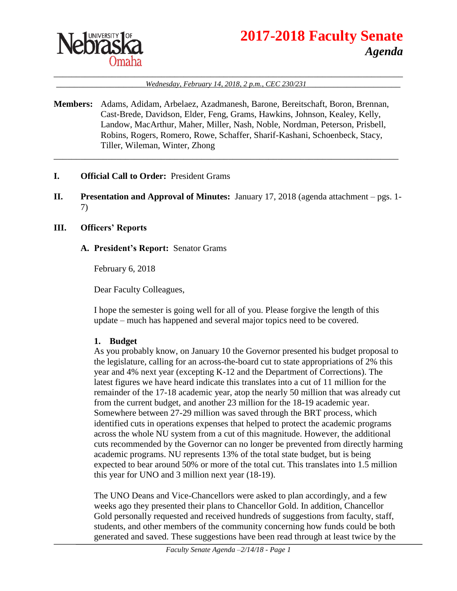

# **2017-2018 Faculty Senate** *Agenda*

#### \_\_\_\_\_\_\_\_\_\_\_\_\_\_\_\_\_\_\_\_\_\_\_\_\_\_\_\_\_\_\_\_\_\_\_\_\_\_\_\_\_\_\_\_\_\_\_\_\_\_\_\_\_\_\_\_\_\_\_\_\_\_\_\_\_\_\_\_\_\_\_\_\_\_\_\_\_\_ \_\_\_\_\_\_\_\_\_\_\_\_\_\_\_\_\_\_\_\_*Wednesday, February 14, 2018, 2 p.m., CEC 230/231*\_\_\_\_\_\_\_\_\_\_\_\_\_\_\_\_\_\_\_\_\_

**Members:** Adams, Adidam, Arbelaez, Azadmanesh, Barone, Bereitschaft, Boron, Brennan, Cast-Brede, Davidson, Elder, Feng, Grams, Hawkins, Johnson, Kealey, Kelly, Landow, MacArthur, Maher, Miller, Nash, Noble, Nordman, Peterson, Prisbell, Robins, Rogers, Romero, Rowe, Schaffer, Sharif-Kashani, Schoenbeck, Stacy, Tiller, Wileman, Winter, Zhong

\_\_\_\_\_\_\_\_\_\_\_\_\_\_\_\_\_\_\_\_\_\_\_\_\_\_\_\_\_\_\_\_\_\_\_\_\_\_\_\_\_\_\_\_\_\_\_\_\_\_\_\_\_\_\_\_\_\_\_\_\_\_\_\_\_\_\_\_\_\_\_\_\_\_\_\_\_

- **I. Official Call to Order:** President Grams
- **II. Presentation and Approval of Minutes:** January 17, 2018 (agenda attachment pgs. 1- 7)

#### **III. Officers' Reports**

#### **A. President's Report:** Senator Grams

February 6, 2018

Dear Faculty Colleagues,

I hope the semester is going well for all of you. Please forgive the length of this update – much has happened and several major topics need to be covered.

#### **1. Budget**

As you probably know, on January 10 the Governor presented his budget proposal to the legislature, calling for an across-the-board cut to state appropriations of 2% this year and 4% next year (excepting K-12 and the Department of Corrections). The latest figures we have heard indicate this translates into a cut of 11 million for the remainder of the 17-18 academic year, atop the nearly 50 million that was already cut from the current budget, and another 23 million for the 18-19 academic year. Somewhere between 27-29 million was saved through the BRT process, which identified cuts in operations expenses that helped to protect the academic programs across the whole NU system from a cut of this magnitude. However, the additional cuts recommended by the Governor can no longer be prevented from directly harming academic programs. NU represents 13% of the total state budget, but is being expected to bear around 50% or more of the total cut. This translates into 1.5 million this year for UNO and 3 million next year (18-19).

The UNO Deans and Vice-Chancellors were asked to plan accordingly, and a few weeks ago they presented their plans to Chancellor Gold. In addition, Chancellor Gold personally requested and received hundreds of suggestions from faculty, staff, students, and other members of the community concerning how funds could be both generated and saved. These suggestions have been read through at least twice by the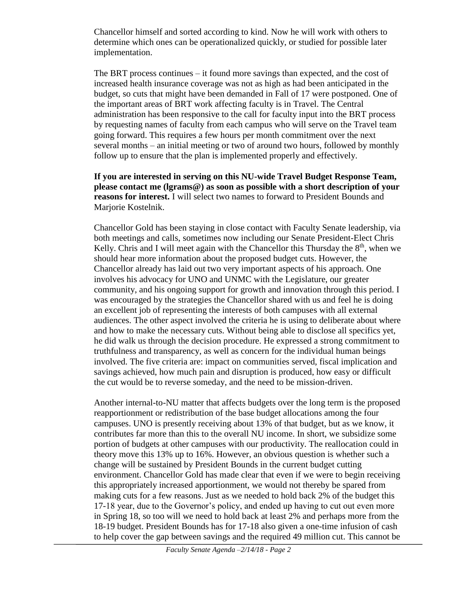Chancellor himself and sorted according to kind. Now he will work with others to determine which ones can be operationalized quickly, or studied for possible later implementation.

The BRT process continues – it found more savings than expected, and the cost of increased health insurance coverage was not as high as had been anticipated in the budget, so cuts that might have been demanded in Fall of 17 were postponed. One of the important areas of BRT work affecting faculty is in Travel. The Central administration has been responsive to the call for faculty input into the BRT process by requesting names of faculty from each campus who will serve on the Travel team going forward. This requires a few hours per month commitment over the next several months – an initial meeting or two of around two hours, followed by monthly follow up to ensure that the plan is implemented properly and effectively.

## **If you are interested in serving on this NU-wide Travel Budget Response Team, please contact me (lgrams@) as soon as possible with a short description of your reasons for interest.** I will select two names to forward to President Bounds and Marjorie Kostelnik.

Chancellor Gold has been staying in close contact with Faculty Senate leadership, via both meetings and calls, sometimes now including our Senate President-Elect Chris Kelly. Chris and I will meet again with the Chancellor this Thursday the  $8<sup>th</sup>$ , when we should hear more information about the proposed budget cuts. However, the Chancellor already has laid out two very important aspects of his approach. One involves his advocacy for UNO and UNMC with the Legislature, our greater community, and his ongoing support for growth and innovation through this period. I was encouraged by the strategies the Chancellor shared with us and feel he is doing an excellent job of representing the interests of both campuses with all external audiences. The other aspect involved the criteria he is using to deliberate about where and how to make the necessary cuts. Without being able to disclose all specifics yet, he did walk us through the decision procedure. He expressed a strong commitment to truthfulness and transparency, as well as concern for the individual human beings involved. The five criteria are: impact on communities served, fiscal implication and savings achieved, how much pain and disruption is produced, how easy or difficult the cut would be to reverse someday, and the need to be mission-driven.

Another internal-to-NU matter that affects budgets over the long term is the proposed reapportionment or redistribution of the base budget allocations among the four campuses. UNO is presently receiving about 13% of that budget, but as we know, it contributes far more than this to the overall NU income. In short, we subsidize some portion of budgets at other campuses with our productivity. The reallocation could in theory move this 13% up to 16%. However, an obvious question is whether such a change will be sustained by President Bounds in the current budget cutting environment. Chancellor Gold has made clear that even if we were to begin receiving this appropriately increased apportionment, we would not thereby be spared from making cuts for a few reasons. Just as we needed to hold back 2% of the budget this 17-18 year, due to the Governor's policy, and ended up having to cut out even more in Spring 18, so too will we need to hold back at least 2% and perhaps more from the 18-19 budget. President Bounds has for 17-18 also given a one-time infusion of cash to help cover the gap between savings and the required 49 million cut. This cannot be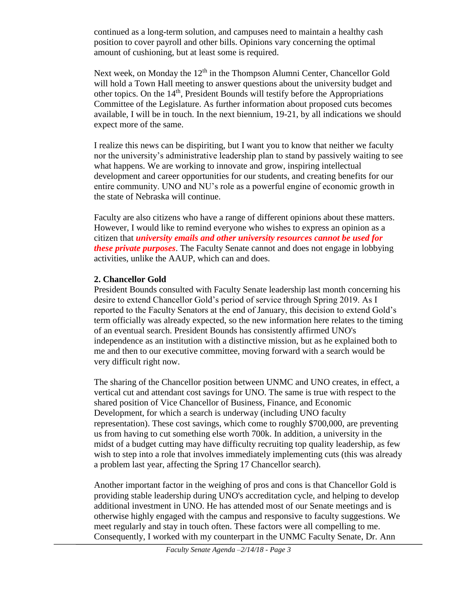continued as a long-term solution, and campuses need to maintain a healthy cash position to cover payroll and other bills. Opinions vary concerning the optimal amount of cushioning, but at least some is required.

Next week, on Monday the  $12<sup>th</sup>$  in the Thompson Alumni Center, Chancellor Gold will hold a Town Hall meeting to answer questions about the university budget and other topics. On the  $14<sup>th</sup>$ , President Bounds will testify before the Appropriations Committee of the Legislature. As further information about proposed cuts becomes available, I will be in touch. In the next biennium, 19-21, by all indications we should expect more of the same.

I realize this news can be dispiriting, but I want you to know that neither we faculty nor the university's administrative leadership plan to stand by passively waiting to see what happens. We are working to innovate and grow, inspiring intellectual development and career opportunities for our students, and creating benefits for our entire community. UNO and NU's role as a powerful engine of economic growth in the state of Nebraska will continue.

Faculty are also citizens who have a range of different opinions about these matters. However, I would like to remind everyone who wishes to express an opinion as a citizen that *university emails and other university resources cannot be used for these private purposes*. The Faculty Senate cannot and does not engage in lobbying activities, unlike the AAUP, which can and does.

## **2. Chancellor Gold**

President Bounds consulted with Faculty Senate leadership last month concerning his desire to extend Chancellor Gold's period of service through Spring 2019. As I reported to the Faculty Senators at the end of January, this decision to extend Gold's term officially was already expected, so the new information here relates to the timing of an eventual search. President Bounds has consistently affirmed UNO's independence as an institution with a distinctive mission, but as he explained both to me and then to our executive committee, moving forward with a search would be very difficult right now.

The sharing of the Chancellor position between UNMC and UNO creates, in effect, a vertical cut and attendant cost savings for UNO. The same is true with respect to the shared position of Vice Chancellor of Business, Finance, and Economic Development, for which a search is underway (including UNO faculty representation). These cost savings, which come to roughly \$700,000, are preventing us from having to cut something else worth 700k. In addition, a university in the midst of a budget cutting may have difficulty recruiting top quality leadership, as few wish to step into a role that involves immediately implementing cuts (this was already a problem last year, affecting the Spring 17 Chancellor search).

Another important factor in the weighing of pros and cons is that Chancellor Gold is providing stable leadership during UNO's accreditation cycle, and helping to develop additional investment in UNO. He has attended most of our Senate meetings and is otherwise highly engaged with the campus and responsive to faculty suggestions. We meet regularly and stay in touch often. These factors were all compelling to me. Consequently, I worked with my counterpart in the UNMC Faculty Senate, Dr. Ann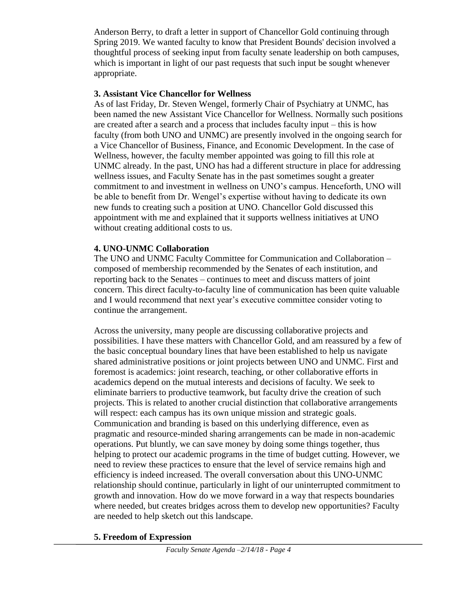Anderson Berry, to draft a letter in support of Chancellor Gold continuing through Spring 2019. We wanted faculty to know that President Bounds' decision involved a thoughtful process of seeking input from faculty senate leadership on both campuses, which is important in light of our past requests that such input be sought whenever appropriate.

## **3. Assistant Vice Chancellor for Wellness**

As of last Friday, Dr. Steven Wengel, formerly Chair of Psychiatry at UNMC, has been named the new Assistant Vice Chancellor for Wellness. Normally such positions are created after a search and a process that includes faculty input – this is how faculty (from both UNO and UNMC) are presently involved in the ongoing search for a Vice Chancellor of Business, Finance, and Economic Development. In the case of Wellness, however, the faculty member appointed was going to fill this role at UNMC already. In the past, UNO has had a different structure in place for addressing wellness issues, and Faculty Senate has in the past sometimes sought a greater commitment to and investment in wellness on UNO's campus. Henceforth, UNO will be able to benefit from Dr. Wengel's expertise without having to dedicate its own new funds to creating such a position at UNO. Chancellor Gold discussed this appointment with me and explained that it supports wellness initiatives at UNO without creating additional costs to us.

# **4. UNO-UNMC Collaboration**

The UNO and UNMC Faculty Committee for Communication and Collaboration – composed of membership recommended by the Senates of each institution, and reporting back to the Senates – continues to meet and discuss matters of joint concern. This direct faculty-to-faculty line of communication has been quite valuable and I would recommend that next year's executive committee consider voting to continue the arrangement.

Across the university, many people are discussing collaborative projects and possibilities. I have these matters with Chancellor Gold, and am reassured by a few of the basic conceptual boundary lines that have been established to help us navigate shared administrative positions or joint projects between UNO and UNMC. First and foremost is academics: joint research, teaching, or other collaborative efforts in academics depend on the mutual interests and decisions of faculty. We seek to eliminate barriers to productive teamwork, but faculty drive the creation of such projects. This is related to another crucial distinction that collaborative arrangements will respect: each campus has its own unique mission and strategic goals. Communication and branding is based on this underlying difference, even as pragmatic and resource-minded sharing arrangements can be made in non-academic operations. Put bluntly, we can save money by doing some things together, thus helping to protect our academic programs in the time of budget cutting. However, we need to review these practices to ensure that the level of service remains high and efficiency is indeed increased. The overall conversation about this UNO-UNMC relationship should continue, particularly in light of our uninterrupted commitment to growth and innovation. How do we move forward in a way that respects boundaries where needed, but creates bridges across them to develop new opportunities? Faculty are needed to help sketch out this landscape.

## **5. Freedom of Expression**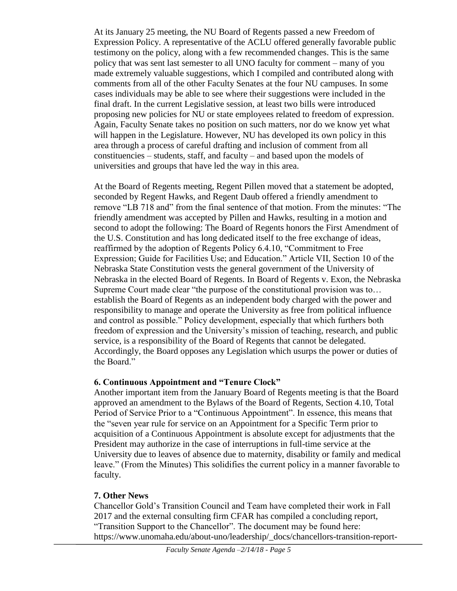At its January 25 meeting, the NU Board of Regents passed a new Freedom of Expression Policy. A representative of the ACLU offered generally favorable public testimony on the policy, along with a few recommended changes. This is the same policy that was sent last semester to all UNO faculty for comment – many of you made extremely valuable suggestions, which I compiled and contributed along with comments from all of the other Faculty Senates at the four NU campuses. In some cases individuals may be able to see where their suggestions were included in the final draft. In the current Legislative session, at least two bills were introduced proposing new policies for NU or state employees related to freedom of expression. Again, Faculty Senate takes no position on such matters, nor do we know yet what will happen in the Legislature. However, NU has developed its own policy in this area through a process of careful drafting and inclusion of comment from all constituencies – students, staff, and faculty – and based upon the models of universities and groups that have led the way in this area.

At the Board of Regents meeting, Regent Pillen moved that a statement be adopted, seconded by Regent Hawks, and Regent Daub offered a friendly amendment to remove "LB 718 and" from the final sentence of that motion. From the minutes: "The friendly amendment was accepted by Pillen and Hawks, resulting in a motion and second to adopt the following: The Board of Regents honors the First Amendment of the U.S. Constitution and has long dedicated itself to the free exchange of ideas, reaffirmed by the adoption of Regents Policy 6.4.10, "Commitment to Free Expression; Guide for Facilities Use; and Education." Article VII, Section 10 of the Nebraska State Constitution vests the general government of the University of Nebraska in the elected Board of Regents. In Board of Regents v. Exon, the Nebraska Supreme Court made clear "the purpose of the constitutional provision was to… establish the Board of Regents as an independent body charged with the power and responsibility to manage and operate the University as free from political influence and control as possible." Policy development, especially that which furthers both freedom of expression and the University's mission of teaching, research, and public service, is a responsibility of the Board of Regents that cannot be delegated. Accordingly, the Board opposes any Legislation which usurps the power or duties of the Board."

# **6. Continuous Appointment and "Tenure Clock"**

Another important item from the January Board of Regents meeting is that the Board approved an amendment to the Bylaws of the Board of Regents, Section 4.10, Total Period of Service Prior to a "Continuous Appointment". In essence, this means that the "seven year rule for service on an Appointment for a Specific Term prior to acquisition of a Continuous Appointment is absolute except for adjustments that the President may authorize in the case of interruptions in full-time service at the University due to leaves of absence due to maternity, disability or family and medical leave." (From the Minutes) This solidifies the current policy in a manner favorable to faculty.

## **7. Other News**

Chancellor Gold's Transition Council and Team have completed their work in Fall 2017 and the external consulting firm CFAR has compiled a concluding report, "Transition Support to the Chancellor". The document may be found here: https://www.unomaha.edu/about-uno/leadership/\_docs/chancellors-transition-report-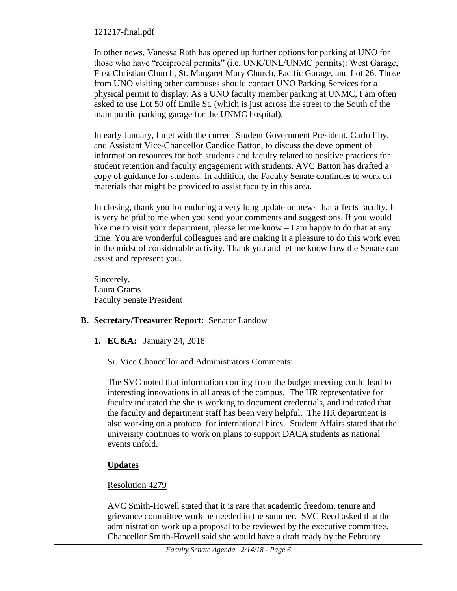## 121217-final.pdf

In other news, Vanessa Rath has opened up further options for parking at UNO for those who have "reciprocal permits" (i.e. UNK/UNL/UNMC permits): West Garage, First Christian Church, St. Margaret Mary Church, Pacific Garage, and Lot 26. Those from UNO visiting other campuses should contact UNO Parking Services for a physical permit to display. As a UNO faculty member parking at UNMC, I am often asked to use Lot 50 off Emile St. (which is just across the street to the South of the main public parking garage for the UNMC hospital).

In early January, I met with the current Student Government President, Carlo Eby, and Assistant Vice-Chancellor Candice Batton, to discuss the development of information resources for both students and faculty related to positive practices for student retention and faculty engagement with students. AVC Batton has drafted a copy of guidance for students. In addition, the Faculty Senate continues to work on materials that might be provided to assist faculty in this area.

In closing, thank you for enduring a very long update on news that affects faculty. It is very helpful to me when you send your comments and suggestions. If you would like me to visit your department, please let me know – I am happy to do that at any time. You are wonderful colleagues and are making it a pleasure to do this work even in the midst of considerable activity. Thank you and let me know how the Senate can assist and represent you.

Sincerely, Laura Grams Faculty Senate President

# **B. Secretary/Treasurer Report:** Senator Landow

**1. EC&A:** January 24, 2018

# Sr. Vice Chancellor and Administrators Comments:

The SVC noted that information coming from the budget meeting could lead to interesting innovations in all areas of the campus. The HR representative for faculty indicated the she is working to document credentials, and indicated that the faculty and department staff has been very helpful. The HR department is also working on a protocol for international hires. Student Affairs stated that the university continues to work on plans to support DACA students as national events unfold.

# **Updates**

# Resolution 4279

AVC Smith-Howell stated that it is rare that academic freedom, tenure and grievance committee work be needed in the summer. SVC Reed asked that the administration work up a proposal to be reviewed by the executive committee. Chancellor Smith-Howell said she would have a draft ready by the February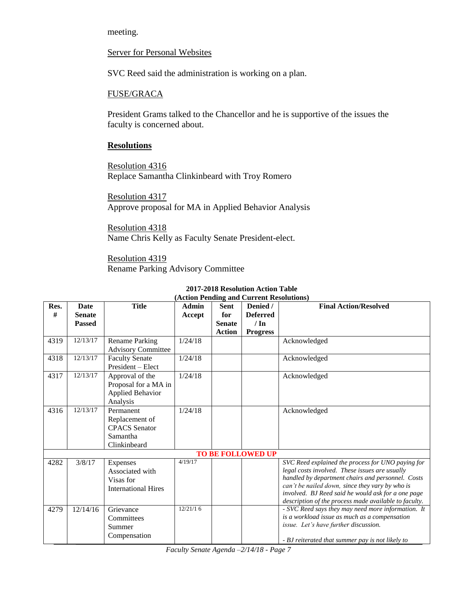meeting.

#### Server for Personal Websites

SVC Reed said the administration is working on a plan.

#### FUSE/GRACA

President Grams talked to the Chancellor and he is supportive of the issues the faculty is concerned about.

#### **Resolutions**

Resolution 4316 Replace Samantha Clinkinbeard with Troy Romero

Resolution 4317 Approve proposal for MA in Applied Behavior Analysis

Resolution 4318 Name Chris Kelly as Faculty Senate President-elect.

Resolution 4319 Rename Parking Advisory Committee

| (Action Pending and Current Resolutions) |               |                                                                                 |              |               |                 |                                                                                                                                                                                                                                                                                                                            |
|------------------------------------------|---------------|---------------------------------------------------------------------------------|--------------|---------------|-----------------|----------------------------------------------------------------------------------------------------------------------------------------------------------------------------------------------------------------------------------------------------------------------------------------------------------------------------|
| Res.                                     | <b>Date</b>   | <b>Title</b>                                                                    | <b>Admin</b> | <b>Sent</b>   | Denied /        | <b>Final Action/Resolved</b>                                                                                                                                                                                                                                                                                               |
| #                                        | <b>Senate</b> |                                                                                 | Accept       | for           | <b>Deferred</b> |                                                                                                                                                                                                                                                                                                                            |
|                                          | <b>Passed</b> |                                                                                 |              | <b>Senate</b> | $/ \ln$         |                                                                                                                                                                                                                                                                                                                            |
|                                          |               |                                                                                 |              | <b>Action</b> | <b>Progress</b> |                                                                                                                                                                                                                                                                                                                            |
| 4319                                     | 12/13/17      | <b>Rename Parking</b><br><b>Advisory Committee</b>                              | 1/24/18      |               |                 | Acknowledged                                                                                                                                                                                                                                                                                                               |
| 4318                                     | 12/13/17      | <b>Faculty Senate</b><br>President – Elect                                      | 1/24/18      |               |                 | Acknowledged                                                                                                                                                                                                                                                                                                               |
| 4317                                     | 12/13/17      | Approval of the<br>Proposal for a MA in<br><b>Applied Behavior</b><br>Analysis  | 1/24/18      |               |                 | Acknowledged                                                                                                                                                                                                                                                                                                               |
| 4316                                     | 12/13/17      | Permanent<br>Replacement of<br><b>CPACS</b> Senator<br>Samantha<br>Clinkinbeard | 1/24/18      |               |                 | Acknowledged                                                                                                                                                                                                                                                                                                               |
| <b>TO BE FOLLOWED UP</b>                 |               |                                                                                 |              |               |                 |                                                                                                                                                                                                                                                                                                                            |
| 4282                                     | 3/8/17        | Expenses<br>Associated with<br>Visas for<br><b>International Hires</b>          | 4/19/17      |               |                 | SVC Reed explained the process for UNO paying for<br>legal costs involved. These issues are usually<br>handled by department chairs and personnel. Costs<br>can't be nailed down, since they vary by who is<br>involved. BJ Reed said he would ask for a one page<br>description of the process made available to faculty. |
| 4279                                     | 12/14/16      | Grievance<br>Committees<br>Summer<br>Compensation                               | 12/21/16     |               |                 | - SVC Reed says they may need more information. It<br>is a workload issue as much as a compensation<br>issue. Let's have further discussion.<br>- BJ reiterated that summer pay is not likely to                                                                                                                           |

## **2017-2018 Resolution Action Table**

*Faculty Senate Agenda –2/14/18 - Page 7*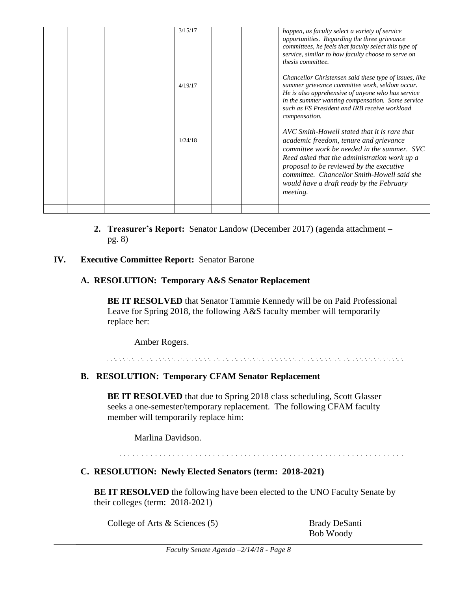|  | 3/15/17 |  | happen, as faculty select a variety of service                                                                                                                                                                                                                                                                                                  |
|--|---------|--|-------------------------------------------------------------------------------------------------------------------------------------------------------------------------------------------------------------------------------------------------------------------------------------------------------------------------------------------------|
|  |         |  | opportunities. Regarding the three grievance                                                                                                                                                                                                                                                                                                    |
|  |         |  | committees, he feels that faculty select this type of                                                                                                                                                                                                                                                                                           |
|  |         |  | service, similar to how faculty choose to serve on                                                                                                                                                                                                                                                                                              |
|  |         |  | thesis committee.                                                                                                                                                                                                                                                                                                                               |
|  | 4/19/17 |  | Chancellor Christensen said these type of issues, like<br>summer grievance committee work, seldom occur.<br>He is also apprehensive of anyone who has service<br>in the summer wanting compensation. Some service<br>such as FS President and IRB receive workload<br>compensation.                                                             |
|  | 1/24/18 |  | AVC Smith-Howell stated that it is rare that<br>academic freedom, tenure and grievance<br>committee work be needed in the summer. SVC<br>Reed asked that the administration work up a<br>proposal to be reviewed by the executive<br>committee. Chancellor Smith-Howell said she<br>would have a draft ready by the February<br><i>meeting.</i> |
|  |         |  |                                                                                                                                                                                                                                                                                                                                                 |

**2. Treasurer's Report:** Senator Landow (December 2017) (agenda attachment – pg. 8)

## **IV. Executive Committee Report:** Senator Barone

#### **A. RESOLUTION: Temporary A&S Senator Replacement**

**BE IT RESOLVED** that Senator Tammie Kennedy will be on Paid Professional Leave for Spring 2018, the following A&S faculty member will temporarily replace her:

Amber Rogers.

## **B. RESOLUTION: Temporary CFAM Senator Replacement**

**BE IT RESOLVED** that due to Spring 2018 class scheduling, Scott Glasser seeks a one-semester/temporary replacement. The following CFAM faculty member will temporarily replace him:

Marlina Davidson.

## **C. RESOLUTION: Newly Elected Senators (term: 2018-2021)**

**BE IT RESOLVED** the following have been elected to the UNO Faculty Senate by their colleges (term: 2018-2021)

College of Arts & Sciences (5) Brady DeSanti

Bob Woody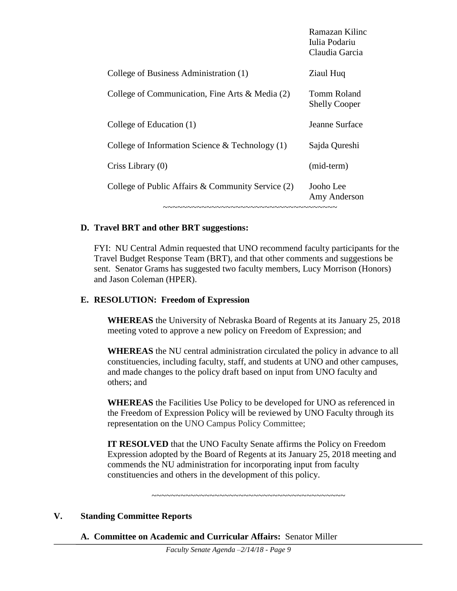|                                                   | Ramazan Kilinc<br>Iulia Podariu<br>Claudia Garcia |
|---------------------------------------------------|---------------------------------------------------|
| College of Business Administration (1)            | Ziaul Huq                                         |
| College of Communication, Fine Arts & Media (2)   | <b>Tomm Roland</b><br><b>Shelly Cooper</b>        |
| College of Education (1)                          | Jeanne Surface                                    |
| College of Information Science $&$ Technology (1) | Sajda Qureshi                                     |
| Criss Library $(0)$                               | (mid-term)                                        |
| College of Public Affairs & Community Service (2) | Jooho Lee<br>Amy Anderson                         |
| ~~~~~~~~~~~~~~~~~~~~~~~~~~~~~~~~~~~~~             |                                                   |

## **D. Travel BRT and other BRT suggestions:**

FYI: NU Central Admin requested that UNO recommend faculty participants for the Travel Budget Response Team (BRT), and that other comments and suggestions be sent. Senator Grams has suggested two faculty members, Lucy Morrison (Honors) and Jason Coleman (HPER).

#### **E. RESOLUTION: Freedom of Expression**

**WHEREAS** the University of Nebraska Board of Regents at its January 25, 2018 meeting voted to approve a new policy on Freedom of Expression; and

**WHEREAS** the NU central administration circulated the policy in advance to all constituencies, including faculty, staff, and students at UNO and other campuses, and made changes to the policy draft based on input from UNO faculty and others; and

**WHEREAS** the Facilities Use Policy to be developed for UNO as referenced in the Freedom of Expression Policy will be reviewed by UNO Faculty through its representation on the UNO Campus Policy Committee;

**IT RESOLVED** that the UNO Faculty Senate affirms the Policy on Freedom Expression adopted by the Board of Regents at its January 25, 2018 meeting and commends the NU administration for incorporating input from faculty constituencies and others in the development of this policy.

~~~~~~~~~~~~~~~~~~~~~~~~~~~~~~~~~~~~~~~~

#### **V. Standing Committee Reports**

**A. Committee on Academic and Curricular Affairs:** Senator Miller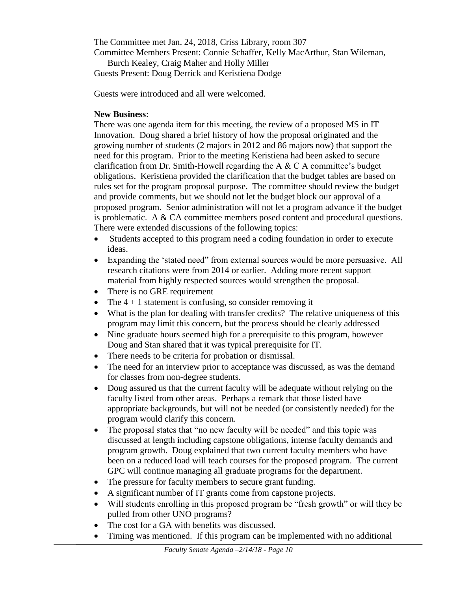The Committee met Jan. 24, 2018, Criss Library, room 307 Committee Members Present: Connie Schaffer, Kelly MacArthur, Stan Wileman,

Burch Kealey, Craig Maher and Holly Miller Guests Present: Doug Derrick and Keristiena Dodge

Guests were introduced and all were welcomed.

# **New Business**:

There was one agenda item for this meeting, the review of a proposed MS in IT Innovation. Doug shared a brief history of how the proposal originated and the growing number of students (2 majors in 2012 and 86 majors now) that support the need for this program. Prior to the meeting Keristiena had been asked to secure clarification from Dr. Smith-Howell regarding the A  $\&$  C A committee's budget obligations. Keristiena provided the clarification that the budget tables are based on rules set for the program proposal purpose. The committee should review the budget and provide comments, but we should not let the budget block our approval of a proposed program. Senior administration will not let a program advance if the budget is problematic. A  $& CA$  committee members posed content and procedural questions. There were extended discussions of the following topics:

- Students accepted to this program need a coding foundation in order to execute ideas.
- Expanding the 'stated need" from external sources would be more persuasive. All research citations were from 2014 or earlier. Adding more recent support material from highly respected sources would strengthen the proposal.
- There is no GRE requirement
- The  $4 + 1$  statement is confusing, so consider removing it
- What is the plan for dealing with transfer credits? The relative uniqueness of this program may limit this concern, but the process should be clearly addressed
- Nine graduate hours seemed high for a prerequisite to this program, however Doug and Stan shared that it was typical prerequisite for IT.
- There needs to be criteria for probation or dismissal.
- The need for an interview prior to acceptance was discussed, as was the demand for classes from non-degree students.
- Doug assured us that the current faculty will be adequate without relying on the faculty listed from other areas. Perhaps a remark that those listed have appropriate backgrounds, but will not be needed (or consistently needed) for the program would clarify this concern.
- The proposal states that "no new faculty will be needed" and this topic was discussed at length including capstone obligations, intense faculty demands and program growth. Doug explained that two current faculty members who have been on a reduced load will teach courses for the proposed program. The current GPC will continue managing all graduate programs for the department.
- The pressure for faculty members to secure grant funding.
- A significant number of IT grants come from capstone projects.
- Will students enrolling in this proposed program be "fresh growth" or will they be pulled from other UNO programs?
- The cost for a GA with benefits was discussed.
- Timing was mentioned. If this program can be implemented with no additional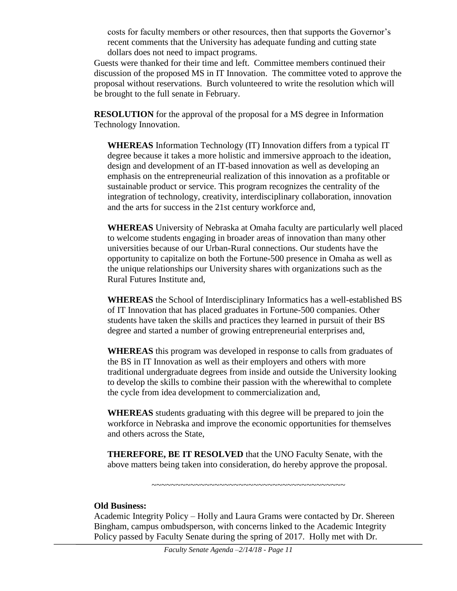costs for faculty members or other resources, then that supports the Governor's recent comments that the University has adequate funding and cutting state dollars does not need to impact programs.

Guests were thanked for their time and left. Committee members continued their discussion of the proposed MS in IT Innovation. The committee voted to approve the proposal without reservations. Burch volunteered to write the resolution which will be brought to the full senate in February.

**RESOLUTION** for the approval of the proposal for a MS degree in Information Technology Innovation.

**WHEREAS** Information Technology (IT) Innovation differs from a typical IT degree because it takes a more holistic and immersive approach to the ideation, design and development of an IT-based innovation as well as developing an emphasis on the entrepreneurial realization of this innovation as a profitable or sustainable product or service. This program recognizes the centrality of the integration of technology, creativity, interdisciplinary collaboration, innovation and the arts for success in the 21st century workforce and,

**WHEREAS** University of Nebraska at Omaha faculty are particularly well placed to welcome students engaging in broader areas of innovation than many other universities because of our Urban-Rural connections. Our students have the opportunity to capitalize on both the Fortune-500 presence in Omaha as well as the unique relationships our University shares with organizations such as the Rural Futures Institute and,

**WHEREAS** the School of Interdisciplinary Informatics has a well-established BS of IT Innovation that has placed graduates in Fortune-500 companies. Other students have taken the skills and practices they learned in pursuit of their BS degree and started a number of growing entrepreneurial enterprises and,

**WHEREAS** this program was developed in response to calls from graduates of the BS in IT Innovation as well as their employers and others with more traditional undergraduate degrees from inside and outside the University looking to develop the skills to combine their passion with the wherewithal to complete the cycle from idea development to commercialization and,

**WHEREAS** students graduating with this degree will be prepared to join the workforce in Nebraska and improve the economic opportunities for themselves and others across the State,

**THEREFORE, BE IT RESOLVED** that the UNO Faculty Senate, with the above matters being taken into consideration, do hereby approve the proposal.

~~~~~~~~~~~~~~~~~~~~~~~~~~~~~~~~~~~~~~~~

#### **Old Business:**

Academic Integrity Policy – Holly and Laura Grams were contacted by Dr. Shereen Bingham, campus ombudsperson, with concerns linked to the Academic Integrity Policy passed by Faculty Senate during the spring of 2017. Holly met with Dr.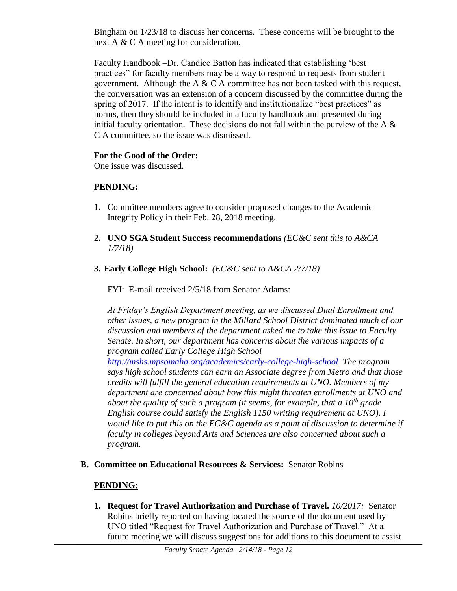Bingham on 1/23/18 to discuss her concerns. These concerns will be brought to the next A & C A meeting for consideration.

Faculty Handbook –Dr. Candice Batton has indicated that establishing 'best practices" for faculty members may be a way to respond to requests from student government. Although the A  $& C A$  committee has not been tasked with this request, the conversation was an extension of a concern discussed by the committee during the spring of 2017. If the intent is to identify and institutionalize "best practices" as norms, then they should be included in a faculty handbook and presented during initial faculty orientation. These decisions do not fall within the purview of the A  $\&$ C A committee, so the issue was dismissed.

# **For the Good of the Order:**

One issue was discussed.

# **PENDING:**

- **1.** Committee members agree to consider proposed changes to the Academic Integrity Policy in their Feb. 28, 2018 meeting.
- **2. UNO SGA Student Success recommendations** *(EC&C sent this to A&CA 1/7/18)*
- **3. Early College High School:** *(EC&C sent to A&CA 2/7/18)*

FYI: E-mail received 2/5/18 from Senator Adams:

*At Friday's English Department meeting, as we discussed Dual Enrollment and other issues, a new program in the Millard School District dominated much of our discussion and members of the department asked me to take this issue to Faculty Senate. In short, our department has concerns about the various impacts of a program called Early College High School* 

*<http://mshs.mpsomaha.org/academics/early-college-high-school> The program says high school students can earn an Associate degree from Metro and that those credits will fulfill the general education requirements at UNO. Members of my department are concerned about how this might threaten enrollments at UNO and about the quality of such a program (it seems, for example, that a 10th grade English course could satisfy the English 1150 writing requirement at UNO). I would like to put this on the EC&C agenda as a point of discussion to determine if faculty in colleges beyond Arts and Sciences are also concerned about such a program.*

**B. Committee on Educational Resources & Services:** Senator Robins

# **PENDING:**

**1. Request for Travel Authorization and Purchase of Travel.** *10/2017:* Senator Robins briefly reported on having located the source of the document used by UNO titled "Request for Travel Authorization and Purchase of Travel." At a future meeting we will discuss suggestions for additions to this document to assist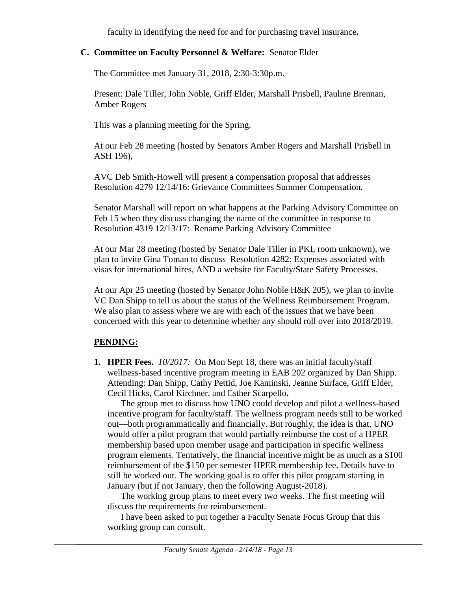faculty in identifying the need for and for purchasing travel insurance**.**

## **C. Committee on Faculty Personnel & Welfare:** Senator Elder

The Committee met January 31, 2018, 2:30-3:30p.m.

Present: Dale Tiller, John Noble, Griff Elder, Marshall Prisbell, Pauline Brennan, Amber Rogers

This was a planning meeting for the Spring.

At our Feb 28 meeting (hosted by Senators Amber Rogers and Marshall Prisbell in ASH 196),

AVC Deb Smith-Howell will present a compensation proposal that addresses Resolution 4279 12/14/16: Grievance Committees Summer Compensation.

Senator Marshall will report on what happens at the Parking Advisory Committee on Feb 15 when they discuss changing the name of the committee in response to Resolution 4319 12/13/17: Rename Parking Advisory Committee

At our Mar 28 meeting (hosted by Senator Dale Tiller in PKI, room unknown), we plan to invite Gina Toman to discuss Resolution 4282: Expenses associated with visas for international hires, AND a website for Faculty/State Safety Processes.

At our Apr 25 meeting (hosted by Senator John Noble H&K 205), we plan to invite VC Dan Shipp to tell us about the status of the Wellness Reimbursement Program. We also plan to assess where we are with each of the issues that we have been concerned with this year to determine whether any should roll over into 2018/2019.

# **PENDING:**

**1. HPER Fees.** *10/2017:*On Mon Sept 18, there was an initial faculty/staff wellness-based incentive program meeting in EAB 202 organized by Dan Shipp. Attending: Dan Shipp, Cathy Pettid, Joe Kaminski, Jeanne Surface, Griff Elder, Cecil Hicks, Carol Kirchner, and Esther Scarpello**.**

The group met to discuss how UNO could develop and pilot a wellness-based incentive program for faculty/staff. The wellness program needs still to be worked out—both programmatically and financially. But roughly, the idea is that, UNO would offer a pilot program that would partially reimburse the cost of a HPER membership based upon member usage and participation in specific wellness program elements. Tentatively, the financial incentive might be as much as a \$100 reimbursement of the \$150 per semester HPER membership fee. Details have to still be worked out. The working goal is to offer this pilot program starting in January (but if not January, then the following August-2018).

The working group plans to meet every two weeks. The first meeting will discuss the requirements for reimbursement.

I have been asked to put together a Faculty Senate Focus Group that this working group can consult.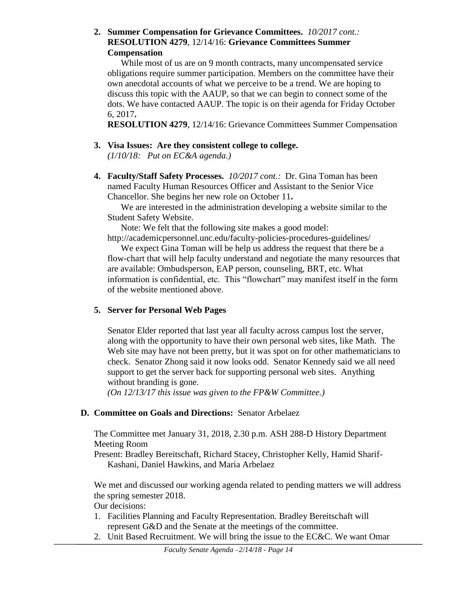## **2. Summer Compensation for Grievance Committees.** *10/2017 cont.:* **RESOLUTION 4279**, 12/14/16: **Grievance Committees Summer Compensation**

While most of us are on 9 month contracts, many uncompensated service obligations require summer participation. Members on the committee have their own anecdotal accounts of what we perceive to be a trend. We are hoping to discuss this topic with the AAUP, so that we can begin to connect some of the dots. We have contacted AAUP. The topic is on their agenda for Friday October 6, 2017**.**

**RESOLUTION 4279**, 12/14/16: Grievance Committees Summer Compensation

# **3. Visa Issues: Are they consistent college to college.**

*(1/10/18: Put on EC&A agenda.)*

**4. Faculty/Staff Safety Processes.** *10/2017 cont.:* Dr. Gina Toman has been named Faculty Human Resources Officer and Assistant to the Senior Vice Chancellor. She begins her new role on October 11**.**

We are interested in the administration developing a website similar to the Student Safety Website.

Note: We felt that the following site makes a good model:

http://academicpersonnel.unc.edu/faculty-policies-procedures-guidelines/

We expect Gina Toman will be help us address the request that there be a flow-chart that will help faculty understand and negotiate the many resources that are available: Ombudsperson, EAP person, counseling, BRT, etc. What information is confidential, etc. This "flowchart" may manifest itself in the form of the website mentioned above.

# **5. Server for Personal Web Pages**

Senator Elder reported that last year all faculty across campus lost the server, along with the opportunity to have their own personal web sites, like Math. The Web site may have not been pretty, but it was spot on for other mathematicians to check. Senator Zhong said it now looks odd. Senator Kennedy said we all need support to get the server back for supporting personal web sites. Anything without branding is gone.

*(On 12/13/17 this issue was given to the FP&W Committee.)*

# **D. Committee on Goals and Directions:** Senator Arbelaez

The Committee met January 31, 2018, 2.30 p.m. ASH 288-D History Department Meeting Room

Present: Bradley Bereitschaft, Richard Stacey, Christopher Kelly, Hamid Sharif-Kashani, Daniel Hawkins, and Maria Arbelaez

We met and discussed our working agenda related to pending matters we will address the spring semester 2018.

Our decisions:

- 1. Facilities Planning and Faculty Representation. Bradley Bereitschaft will represent G&D and the Senate at the meetings of the committee.
- 2. Unit Based Recruitment. We will bring the issue to the EC&C. We want Omar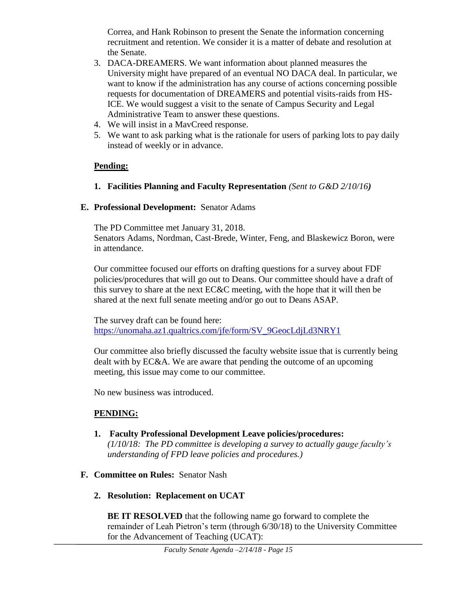Correa, and Hank Robinson to present the Senate the information concerning recruitment and retention. We consider it is a matter of debate and resolution at the Senate.

- 3. DACA-DREAMERS. We want information about planned measures the University might have prepared of an eventual NO DACA deal. In particular, we want to know if the administration has any course of actions concerning possible requests for documentation of DREAMERS and potential visits-raids from HS-ICE. We would suggest a visit to the senate of Campus Security and Legal Administrative Team to answer these questions.
- 4. We will insist in a MavCreed response.
- 5. We want to ask parking what is the rationale for users of parking lots to pay daily instead of weekly or in advance.

# **Pending:**

**1. Facilities Planning and Faculty Representation** *(Sent to G&D 2/10/16)* 

# **E. Professional Development:** Senator Adams

The PD Committee met January 31, 2018. Senators Adams, Nordman, Cast-Brede, Winter, Feng, and Blaskewicz Boron, were in attendance.

Our committee focused our efforts on drafting questions for a survey about FDF policies/procedures that will go out to Deans. Our committee should have a draft of this survey to share at the next EC&C meeting, with the hope that it will then be shared at the next full senate meeting and/or go out to Deans ASAP.

The survey draft can be found here: [https://unomaha.az1.qualtrics.com/jfe/form/SV\\_9GeocLdjLd3NRY1](https://unomaha.az1.qualtrics.com/jfe/form/SV_9GeocLdjLd3NRY1)

Our committee also briefly discussed the faculty website issue that is currently being dealt with by EC&A. We are aware that pending the outcome of an upcoming meeting, this issue may come to our committee.

No new business was introduced.

# **PENDING:**

**1. Faculty Professional Development Leave policies/procedures:**  *(1/10/18: The PD committee is developing a survey to actually gauge faculty's* 

*understanding of FPD leave policies and procedures.)*

- **F. Committee on Rules:** Senator Nash
	- **2. Resolution: Replacement on UCAT**

**BE IT RESOLVED** that the following name go forward to complete the remainder of Leah Pietron's term (through 6/30/18) to the University Committee for the Advancement of Teaching (UCAT):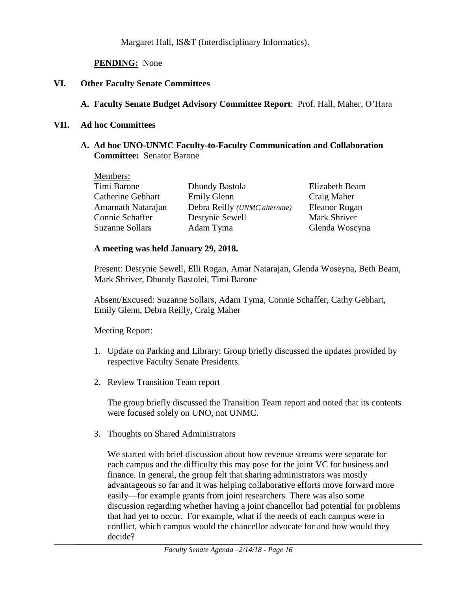Margaret Hall, IS&T (Interdisciplinary Informatics).

**PENDING:** None

## **VI. Other Faculty Senate Committees**

## **A. Faculty Senate Budget Advisory Committee Report**: Prof. Hall, Maher, O'Hara

#### **VII. Ad hoc Committees**

## **A. Ad hoc UNO-UNMC Faculty-to-Faculty Communication and Collaboration Committee:** Senator Barone

| Members:                 |                                       |                |
|--------------------------|---------------------------------------|----------------|
| Timi Barone              | Dhundy Bastola                        | Elizabeth Beam |
| <b>Catherine Gebhart</b> | <b>Emily Glenn</b>                    | Craig Maher    |
| Amarnath Natarajan       | Debra Reilly ( <i>UNMC</i> alternate) | Eleanor Rogan  |
| Connie Schaffer          | Destynie Sewell                       | Mark Shriver   |
| <b>Suzanne Sollars</b>   | Adam Tyma                             | Glenda Woscyna |

## **A meeting was held January 29, 2018.**

Present: Destynie Sewell, Elli Rogan, Amar Natarajan, Glenda Woseyna, Beth Beam, Mark Shriver, Dhundy Bastolei, Timi Barone

Absent/Excused: Suzanne Sollars, Adam Tyma, Connie Schaffer, Cathy Gebhart, Emily Glenn, Debra Reilly, Craig Maher

## Meeting Report:

- 1. Update on Parking and Library: Group briefly discussed the updates provided by respective Faculty Senate Presidents.
- 2. Review Transition Team report

The group briefly discussed the Transition Team report and noted that its contents were focused solely on UNO, not UNMC.

3. Thoughts on Shared Administrators

We started with brief discussion about how revenue streams were separate for each campus and the difficulty this may pose for the joint VC for business and finance. In general, the group felt that sharing administrators was mostly advantageous so far and it was helping collaborative efforts move forward more easily—for example grants from joint researchers. There was also some discussion regarding whether having a joint chancellor had potential for problems that had yet to occur. For example, what if the needs of each campus were in conflict, which campus would the chancellor advocate for and how would they decide?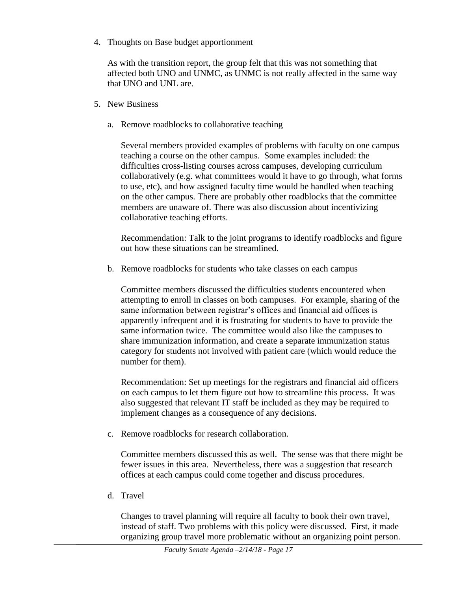4. Thoughts on Base budget apportionment

As with the transition report, the group felt that this was not something that affected both UNO and UNMC, as UNMC is not really affected in the same way that UNO and UNL are.

- 5. New Business
	- a. Remove roadblocks to collaborative teaching

Several members provided examples of problems with faculty on one campus teaching a course on the other campus. Some examples included: the difficulties cross-listing courses across campuses, developing curriculum collaboratively (e.g. what committees would it have to go through, what forms to use, etc), and how assigned faculty time would be handled when teaching on the other campus. There are probably other roadblocks that the committee members are unaware of. There was also discussion about incentivizing collaborative teaching efforts.

Recommendation: Talk to the joint programs to identify roadblocks and figure out how these situations can be streamlined.

b. Remove roadblocks for students who take classes on each campus

Committee members discussed the difficulties students encountered when attempting to enroll in classes on both campuses. For example, sharing of the same information between registrar's offices and financial aid offices is apparently infrequent and it is frustrating for students to have to provide the same information twice. The committee would also like the campuses to share immunization information, and create a separate immunization status category for students not involved with patient care (which would reduce the number for them).

Recommendation: Set up meetings for the registrars and financial aid officers on each campus to let them figure out how to streamline this process. It was also suggested that relevant IT staff be included as they may be required to implement changes as a consequence of any decisions.

c. Remove roadblocks for research collaboration.

Committee members discussed this as well. The sense was that there might be fewer issues in this area. Nevertheless, there was a suggestion that research offices at each campus could come together and discuss procedures.

d. Travel

Changes to travel planning will require all faculty to book their own travel, instead of staff. Two problems with this policy were discussed. First, it made organizing group travel more problematic without an organizing point person.